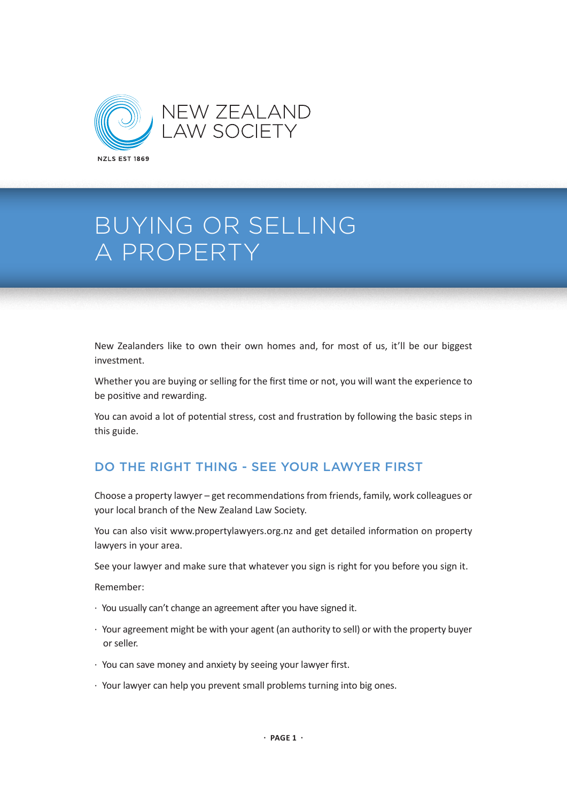

New Zealanders like to own their own homes and, for most of us, it'll be our biggest investment.

Whether you are buying or selling for the first time or not, you will want the experience to be positive and rewarding.

You can avoid a lot of potential stress, cost and frustration by following the basic steps in this guide.

# DO THE RIGHT THING - SEE YOUR LAWYER FIRST

Choose a property lawyer – get recommendations from friends, family, work colleagues or your local branch of the New Zealand Law Society.

You can also visit www.propertylawyers.org.nz and get detailed information on property lawyers in your area.

See your lawyer and make sure that whatever you sign is right for you before you sign it.

Remember:

- · You usually can't change an agreement after you have signed it.
- · Your agreement might be with your agent (an authority to sell) or with the property buyer or seller.
- · You can save money and anxiety by seeing your lawyer first.
- · Your lawyer can help you prevent small problems turning into big ones.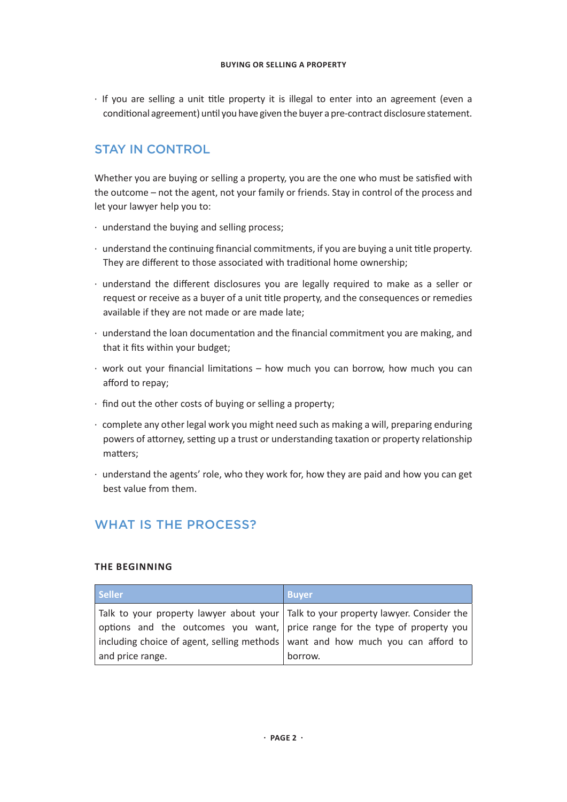· If you are selling a unit title property it is illegal to enter into an agreement (even a conditional agreement) until you have given the buyer a pre-contract disclosure statement.

# STAY IN CONTROL

Whether you are buying or selling a property, you are the one who must be satisfied with the outcome – not the agent, not your family or friends. Stay in control of the process and let your lawyer help you to:

- · understand the buying and selling process;
- · understand the continuing financial commitments, if you are buying a unit title property. They are different to those associated with traditional home ownership;
- · understand the different disclosures you are legally required to make as a seller or request or receive as a buyer of a unit title property, and the consequences or remedies available if they are not made or are made late;
- · understand the loan documentation and the financial commitment you are making, and that it fits within your budget;
- · work out your financial limitations how much you can borrow, how much you can afford to repay;
- · find out the other costs of buying or selling a property;
- · complete any other legal work you might need such as making a will, preparing enduring powers of attorney, setting up a trust or understanding taxation or property relationship matters;
- · understand the agents' role, who they work for, how they are paid and how you can get best value from them.

# WHAT IS THE PROCESS?

# **THE BEGINNING**

| <b>Seller</b>    | <b>Buyer</b>                                                                         |
|------------------|--------------------------------------------------------------------------------------|
|                  | Talk to your property lawyer about your   Talk to your property lawyer. Consider the |
|                  | options and the outcomes you want, price range for the type of property you          |
|                  | including choice of agent, selling methods   want and how much you can afford to     |
| and price range. | borrow.                                                                              |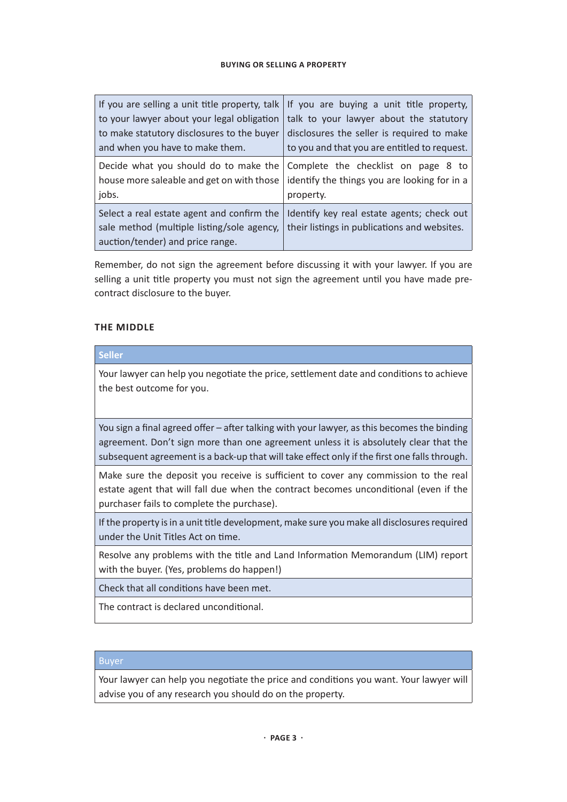|                                                                                                                              | If you are selling a unit title property, talk If you are buying a unit title property,          |
|------------------------------------------------------------------------------------------------------------------------------|--------------------------------------------------------------------------------------------------|
| to your lawyer about your legal obligation                                                                                   | talk to your lawyer about the statutory                                                          |
| to make statutory disclosures to the buyer                                                                                   | disclosures the seller is required to make                                                       |
| and when you have to make them.                                                                                              | to you and that you are entitled to request.                                                     |
| Decide what you should do to make the<br>house more saleable and get on with those<br>jobs.                                  | Complete the checklist on page 8 to<br>identify the things you are looking for in a<br>property. |
| Select a real estate agent and confirm the<br>sale method (multiple listing/sole agency,<br>auction/tender) and price range. | Identify key real estate agents; check out<br>their listings in publications and websites.       |

Remember, do not sign the agreement before discussing it with your lawyer. If you are selling a unit title property you must not sign the agreement until you have made precontract disclosure to the buyer.

# **THE MIDDLE**

| <b>Seller</b>                                                                                                                                                                                                                                                                       |
|-------------------------------------------------------------------------------------------------------------------------------------------------------------------------------------------------------------------------------------------------------------------------------------|
| Your lawyer can help you negotiate the price, settlement date and conditions to achieve<br>the best outcome for you.                                                                                                                                                                |
| You sign a final agreed offer – after talking with your lawyer, as this becomes the binding<br>agreement. Don't sign more than one agreement unless it is absolutely clear that the<br>subsequent agreement is a back-up that will take effect only if the first one falls through. |
| Make sure the deposit you receive is sufficient to cover any commission to the real<br>estate agent that will fall due when the contract becomes unconditional (even if the<br>purchaser fails to complete the purchase).                                                           |
| If the property is in a unit title development, make sure you make all disclosures required<br>under the Unit Titles Act on time.                                                                                                                                                   |
| Resolve any problems with the title and Land Information Memorandum (LIM) report<br>with the buyer. (Yes, problems do happen!)                                                                                                                                                      |
| Check that all conditions have been met.                                                                                                                                                                                                                                            |
| The contract is declared unconditional.                                                                                                                                                                                                                                             |

# Buyer

Your lawyer can help you negotiate the price and conditions you want. Your lawyer will advise you of any research you should do on the property.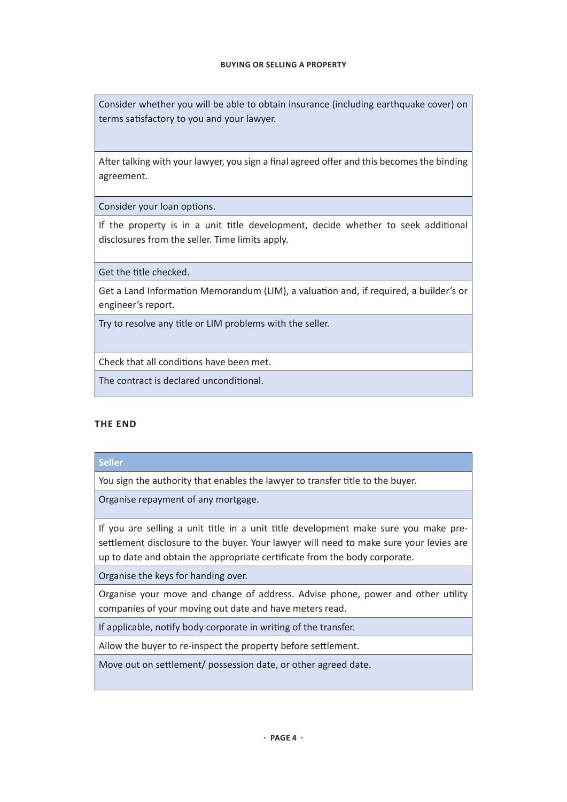Consider whether you will be able to obtain insurance (including earthquake cover) on terms satisfactory to you and your lawyer.

After talking with your lawyer, you sign a final agreed offer and this becomes the binding agreement.

Consider your loan options.

If the property is in a unit title development, decide whether to seek additional disclosures from the seller. Time limits apply.

Get the title checked.

Get a Land Information Memorandum (LIM), a valuation and, if required, a builder's or engineer's report.

Try to resolve any title or LIM problems with the seller.

Check that all conditions have been met.

The contract is declared unconditional.

# **THE END**

# **Seller**

You sign the authority that enables the lawyer to transfer title to the buyer.

Organise repayment of any mortgage.

If you are selling a unit title in a unit title development make sure you make presettlement disclosure to the buyer. Your lawyer will need to make sure your levies are up to date and obtain the appropriate certificate from the body corporate.

Organise the keys for handing over.

Organise your move and change of address. Advise phone, power and other utility companies of your moving out date and have meters read.

If applicable, notify body corporate in writing of the transfer.

Allow the buyer to re-inspect the property before settlement.

Move out on settlement/ possession date, or other agreed date.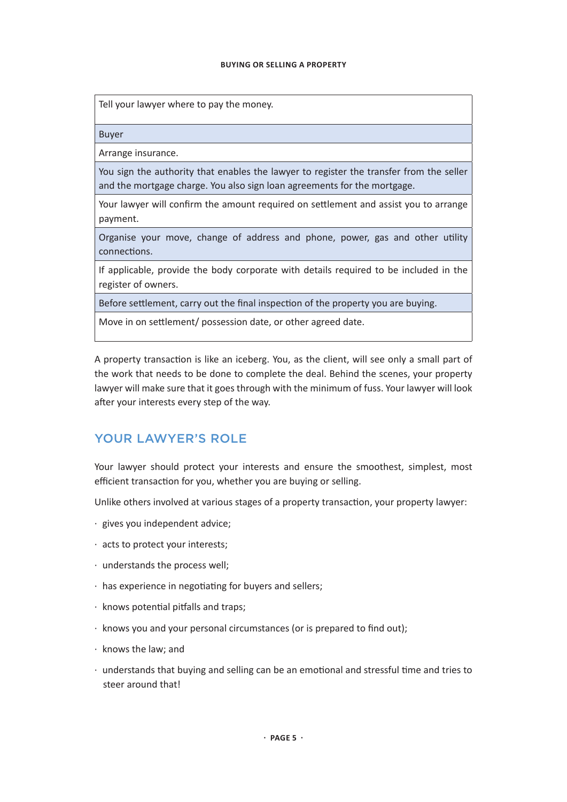Tell your lawyer where to pay the money.

Buyer

Arrange insurance.

You sign the authority that enables the lawyer to register the transfer from the seller and the mortgage charge. You also sign loan agreements for the mortgage.

Your lawyer will confirm the amount required on settlement and assist you to arrange payment.

Organise your move, change of address and phone, power, gas and other utility connections.

If applicable, provide the body corporate with details required to be included in the register of owners.

Before settlement, carry out the final inspection of the property you are buying.

Move in on settlement/ possession date, or other agreed date.

A property transaction is like an iceberg. You, as the client, will see only a small part of the work that needs to be done to complete the deal. Behind the scenes, your property lawyer will make sure that it goes through with the minimum of fuss. Your lawyer will look after your interests every step of the way.

# YOUR LAWYER'S ROLE

Your lawyer should protect your interests and ensure the smoothest, simplest, most efficient transaction for you, whether you are buying or selling.

Unlike others involved at various stages of a property transaction, your property lawyer:

- · gives you independent advice;
- · acts to protect your interests;
- · understands the process well;
- · has experience in negotiating for buyers and sellers;
- · knows potential pitfalls and traps;
- · knows you and your personal circumstances (or is prepared to find out);
- · knows the law; and
- · understands that buying and selling can be an emotional and stressful time and tries to steer around that!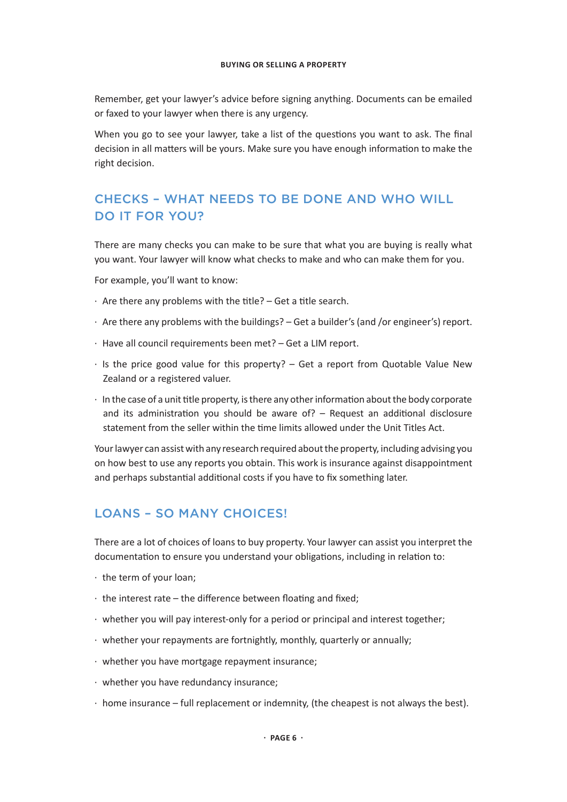Remember, get your lawyer's advice before signing anything. Documents can be emailed or faxed to your lawyer when there is any urgency.

When you go to see your lawyer, take a list of the questions you want to ask. The final decision in all matters will be yours. Make sure you have enough information to make the right decision.

# CHECKS – WHAT NEEDS TO BE DONE AND WHO WILL DO IT FOR YOU?

There are many checks you can make to be sure that what you are buying is really what you want. Your lawyer will know what checks to make and who can make them for you.

For example, you'll want to know:

- · Are there any problems with the title? Get a title search.
- · Are there any problems with the buildings? Get a builder's (and /or engineer's) report.
- · Have all council requirements been met? Get a LIM report.
- · Is the price good value for this property? Get a report from Quotable Value New Zealand or a registered valuer.
- $\cdot$  In the case of a unit title property, is there any other information about the body corporate and its administration you should be aware of? – Request an additional disclosure statement from the seller within the time limits allowed under the Unit Titles Act.

Your lawyer can assist with any research required about the property, including advising you on how best to use any reports you obtain. This work is insurance against disappointment and perhaps substantial additional costs if you have to fix something later.

# LOANS – SO MANY CHOICES!

There are a lot of choices of loans to buy property. Your lawyer can assist you interpret the documentation to ensure you understand your obligations, including in relation to:

- · the term of your loan;
- · the interest rate the difference between floating and fixed;
- · whether you will pay interest-only for a period or principal and interest together;
- · whether your repayments are fortnightly, monthly, quarterly or annually;
- · whether you have mortgage repayment insurance;
- · whether you have redundancy insurance;
- $\cdot$  home insurance full replacement or indemnity, (the cheapest is not always the best).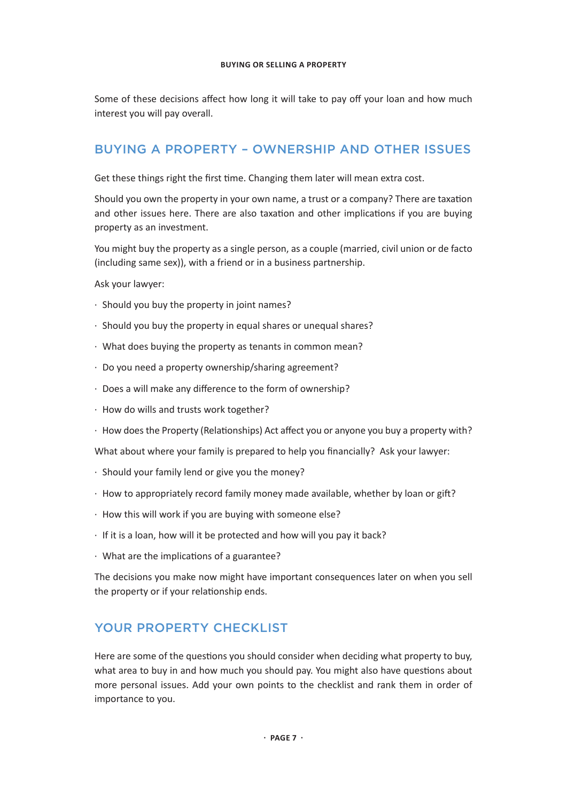Some of these decisions affect how long it will take to pay off your loan and how much interest you will pay overall.

# BUYING A PROPERTY – OWNERSHIP AND OTHER ISSUES

Get these things right the first time. Changing them later will mean extra cost.

Should you own the property in your own name, a trust or a company? There are taxation and other issues here. There are also taxation and other implications if you are buying property as an investment.

You might buy the property as a single person, as a couple (married, civil union or de facto (including same sex)), with a friend or in a business partnership.

Ask your lawyer:

- · Should you buy the property in joint names?
- · Should you buy the property in equal shares or unequal shares?
- · What does buying the property as tenants in common mean?
- · Do you need a property ownership/sharing agreement?
- · Does a will make any difference to the form of ownership?
- · How do wills and trusts work together?
- · How does the Property (Relationships) Act affect you or anyone you buy a property with?

What about where your family is prepared to help you financially? Ask your lawyer:

- · Should your family lend or give you the money?
- · How to appropriately record family money made available, whether by loan or gift?
- · How this will work if you are buying with someone else?
- · If it is a loan, how will it be protected and how will you pay it back?
- · What are the implications of a guarantee?

The decisions you make now might have important consequences later on when you sell the property or if your relationship ends.

# YOUR PROPERTY CHECKLIST

Here are some of the questions you should consider when deciding what property to buy, what area to buy in and how much you should pay. You might also have questions about more personal issues. Add your own points to the checklist and rank them in order of importance to you.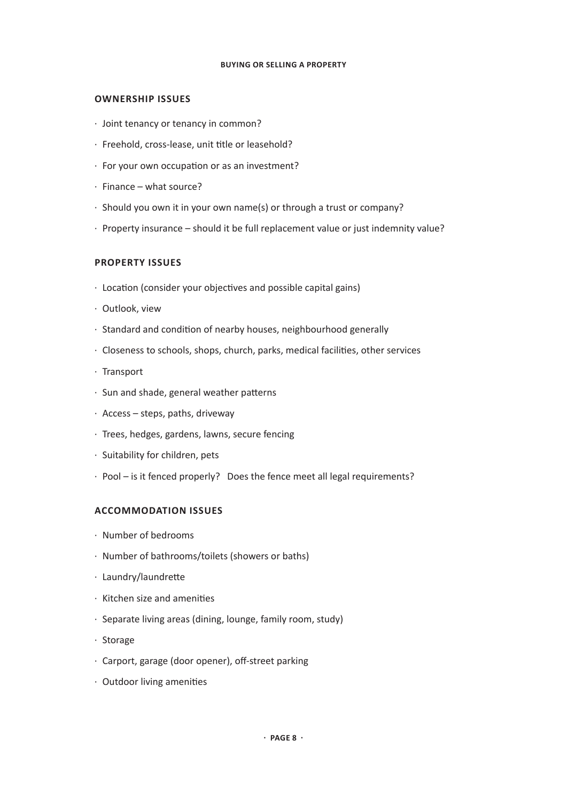#### **OWNERSHIP ISSUES**

- · Joint tenancy or tenancy in common?
- · Freehold, cross-lease, unit title or leasehold?
- · For your own occupation or as an investment?
- · Finance what source?
- · Should you own it in your own name(s) or through a trust or company?
- · Property insurance should it be full replacement value or just indemnity value?

#### **PROPERTY ISSUES**

- · Location (consider your objectives and possible capital gains)
- · Outlook, view
- · Standard and condition of nearby houses, neighbourhood generally
- · Closeness to schools, shops, church, parks, medical facilities, other services
- · Transport
- · Sun and shade, general weather patterns
- · Access steps, paths, driveway
- · Trees, hedges, gardens, lawns, secure fencing
- · Suitability for children, pets
- · Pool is it fenced properly? Does the fence meet all legal requirements?

#### **ACCOMMODATION ISSUES**

- · Number of bedrooms
- · Number of bathrooms/toilets (showers or baths)
- · Laundry/laundrette
- · Kitchen size and amenities
- · Separate living areas (dining, lounge, family room, study)
- · Storage
- · Carport, garage (door opener), off-street parking
- · Outdoor living amenities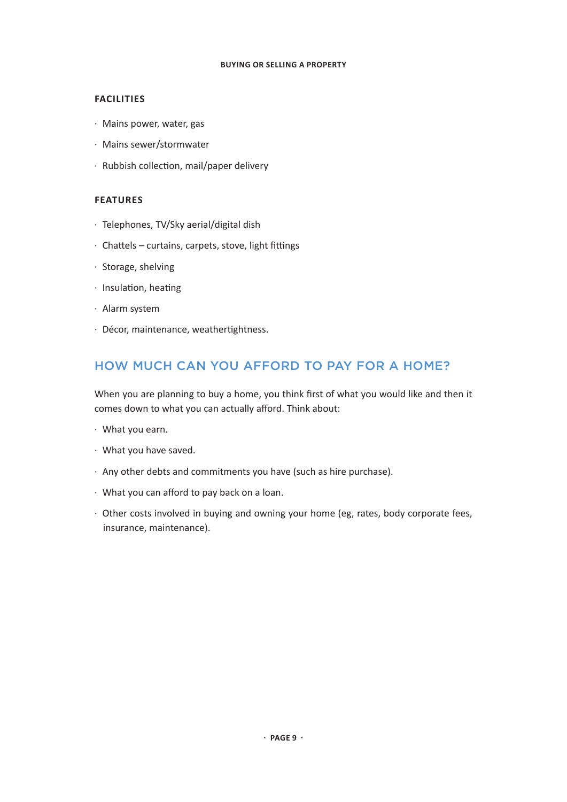## **FACILITIES**

- · Mains power, water, gas
- · Mains sewer/stormwater
- · Rubbish collection, mail/paper delivery

## **FEATURES**

- · Telephones, TV/Sky aerial/digital dish
- · Chattels curtains, carpets, stove, light fittings
- · Storage, shelving
- · Insulation, heating
- · Alarm system
- · Décor, maintenance, weathertightness.

# HOW MUCH CAN YOU AFFORD TO PAY FOR A HOME?

When you are planning to buy a home, you think first of what you would like and then it comes down to what you can actually afford. Think about:

- · What you earn.
- · What you have saved.
- · Any other debts and commitments you have (such as hire purchase).
- · What you can afford to pay back on a loan.
- · Other costs involved in buying and owning your home (eg, rates, body corporate fees, insurance, maintenance).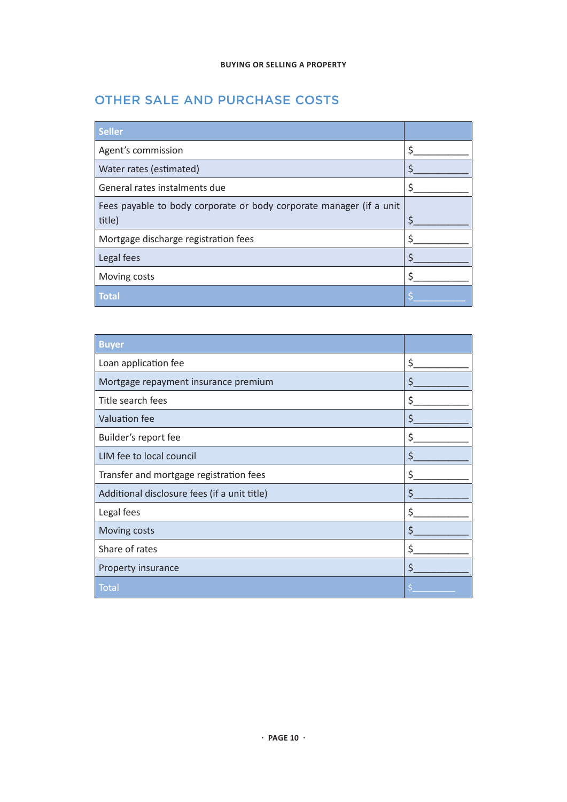# OTHER SALE AND PURCHASE COSTS

| <b>Seller</b>                                                       |   |
|---------------------------------------------------------------------|---|
| Agent's commission                                                  | Ś |
| Water rates (estimated)                                             |   |
| General rates instalments due                                       | ς |
| Fees payable to body corporate or body corporate manager (if a unit |   |
| title)                                                              | S |
| Mortgage discharge registration fees                                |   |
| Legal fees                                                          |   |
| Moving costs                                                        |   |
| <b>Total</b>                                                        |   |

| <b>Buyer</b>                                 |    |
|----------------------------------------------|----|
| Loan application fee                         | \$ |
| Mortgage repayment insurance premium         | \$ |
| Title search fees                            | \$ |
| <b>Valuation fee</b>                         | \$ |
| Builder's report fee                         | \$ |
| LIM fee to local council                     | \$ |
| Transfer and mortgage registration fees      | \$ |
| Additional disclosure fees (if a unit title) | \$ |
| Legal fees                                   | \$ |
| Moving costs                                 | \$ |
| Share of rates                               | \$ |
| Property insurance                           | \$ |
| Total                                        |    |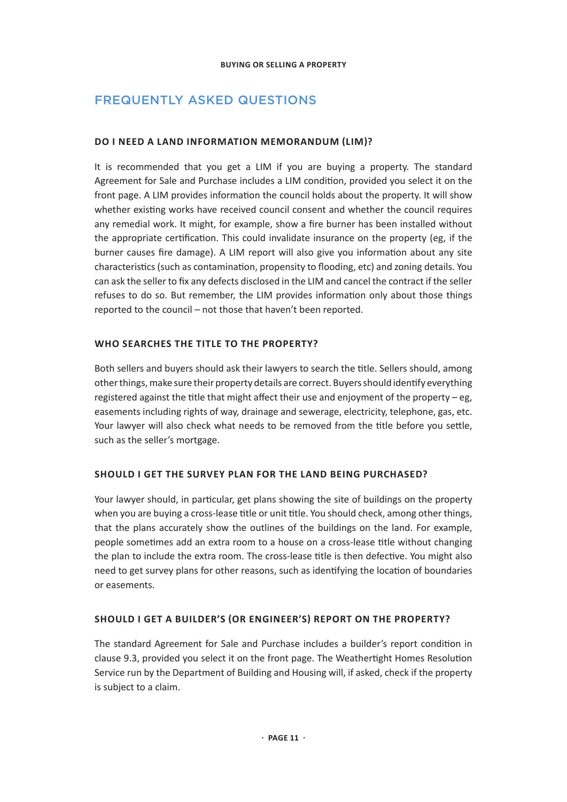# FREQUENTLY ASKED QUESTIONS

# **DO I NEED A LAND INFORMATION MEMORANDUM (LIM)?**

It is recommended that you get a LIM if you are buying a property. The standard Agreement for Sale and Purchase includes a LIM condition, provided you select it on the front page. A LIM provides information the council holds about the property. It will show whether existing works have received council consent and whether the council requires any remedial work. It might, for example, show a fire burner has been installed without the appropriate certification. This could invalidate insurance on the property (eg, if the burner causes fire damage). A LIM report will also give you information about any site characteristics (such as contamination, propensity to flooding, etc) and zoning details. You can ask the seller to fix any defects disclosed in the LIM and cancel the contract if the seller refuses to do so. But remember, the LIM provides information only about those things reported to the council – not those that haven't been reported.

# **WHO SEARCHES THE TITLE TO THE PROPERTY?**

Both sellers and buyers should ask their lawyers to search the title. Sellers should, among other things, make sure their property details are correct. Buyers should identify everything registered against the title that might affect their use and enjoyment of the property  $-e$ g, easements including rights of way, drainage and sewerage, electricity, telephone, gas, etc. Your lawyer will also check what needs to be removed from the title before you settle, such as the seller's mortgage.

# **SHOULD I GET THE SURVEY PLAN FOR THE LAND BEING PURCHASED?**

Your lawyer should, in particular, get plans showing the site of buildings on the property when you are buying a cross-lease title or unit title. You should check, among other things, that the plans accurately show the outlines of the buildings on the land. For example, people sometimes add an extra room to a house on a cross-lease title without changing the plan to include the extra room. The cross-lease title is then defective. You might also need to get survey plans for other reasons, such as identifying the location of boundaries or easements.

# **SHOULD I GET A BUILDER'S (OR ENGINEER'S) REPORT ON THE PROPERTY?**

The standard Agreement for Sale and Purchase includes a builder's report condition in clause 9.3, provided you select it on the front page. The Weathertight Homes Resolution Service run by the Department of Building and Housing will, if asked, check if the property is subject to a claim.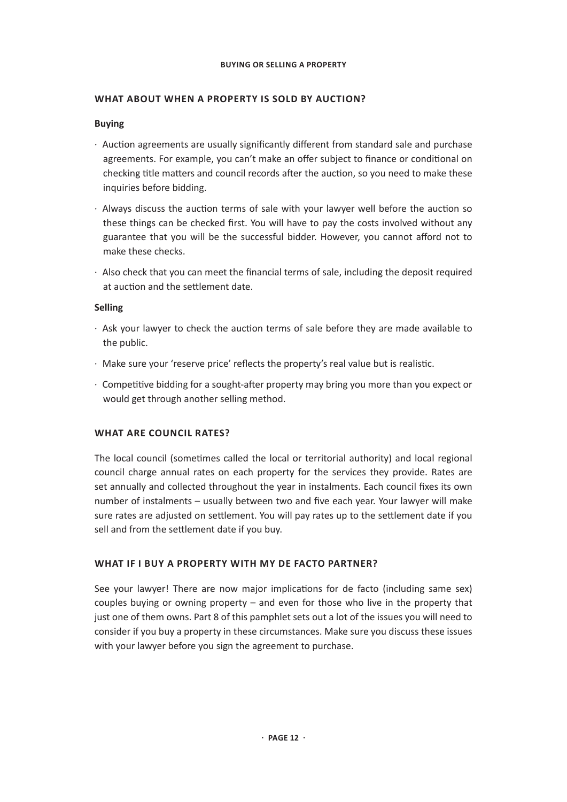## **WHAT ABOUT WHEN A PROPERTY IS SOLD BY AUCTION?**

## **Buying**

- · Auction agreements are usually significantly different from standard sale and purchase agreements. For example, you can't make an offer subject to finance or conditional on checking title matters and council records after the auction, so you need to make these inquiries before bidding.
- · Always discuss the auction terms of sale with your lawyer well before the auction so these things can be checked first. You will have to pay the costs involved without any guarantee that you will be the successful bidder. However, you cannot afford not to make these checks.
- · Also check that you can meet the financial terms of sale, including the deposit required at auction and the settlement date.

## **Selling**

- · Ask your lawyer to check the auction terms of sale before they are made available to the public.
- · Make sure your 'reserve price' reflects the property's real value but is realistic.
- · Competitive bidding for a sought-after property may bring you more than you expect or would get through another selling method.

# **WHAT ARE COUNCIL RATES?**

The local council (sometimes called the local or territorial authority) and local regional council charge annual rates on each property for the services they provide. Rates are set annually and collected throughout the year in instalments. Each council fixes its own number of instalments – usually between two and five each year. Your lawyer will make sure rates are adjusted on settlement. You will pay rates up to the settlement date if you sell and from the settlement date if you buy.

#### **WHAT IF I BUY A PROPERTY WITH MY DE FACTO PARTNER?**

See your lawyer! There are now major implications for de facto (including same sex) couples buying or owning property – and even for those who live in the property that just one of them owns. Part 8 of this pamphlet sets out a lot of the issues you will need to consider if you buy a property in these circumstances. Make sure you discuss these issues with your lawyer before you sign the agreement to purchase.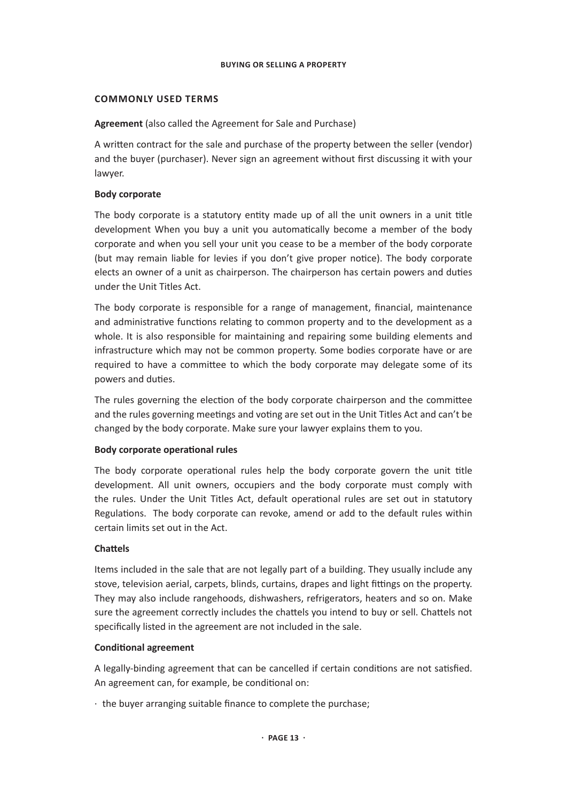#### **COMMONLY USED TERMS**

## **Agreement** (also called the Agreement for Sale and Purchase)

A written contract for the sale and purchase of the property between the seller (vendor) and the buyer (purchaser). Never sign an agreement without first discussing it with your lawyer.

# **Body corporate**

The body corporate is a statutory entity made up of all the unit owners in a unit title development When you buy a unit you automatically become a member of the body corporate and when you sell your unit you cease to be a member of the body corporate (but may remain liable for levies if you don't give proper notice). The body corporate elects an owner of a unit as chairperson. The chairperson has certain powers and duties under the Unit Titles Act.

The body corporate is responsible for a range of management, financial, maintenance and administrative functions relating to common property and to the development as a whole. It is also responsible for maintaining and repairing some building elements and infrastructure which may not be common property. Some bodies corporate have or are required to have a committee to which the body corporate may delegate some of its powers and duties.

The rules governing the election of the body corporate chairperson and the committee and the rules governing meetings and voting are set out in the Unit Titles Act and can't be changed by the body corporate. Make sure your lawyer explains them to you.

#### **Body corporate operational rules**

The body corporate operational rules help the body corporate govern the unit title development. All unit owners, occupiers and the body corporate must comply with the rules. Under the Unit Titles Act, default operational rules are set out in statutory Regulations. The body corporate can revoke, amend or add to the default rules within certain limits set out in the Act.

#### **Chattels**

Items included in the sale that are not legally part of a building. They usually include any stove, television aerial, carpets, blinds, curtains, drapes and light fittings on the property. They may also include rangehoods, dishwashers, refrigerators, heaters and so on. Make sure the agreement correctly includes the chattels you intend to buy or sell. Chattels not specifically listed in the agreement are not included in the sale.

#### **Conditional agreement**

A legally-binding agreement that can be cancelled if certain conditions are not satisfied. An agreement can, for example, be conditional on:

· the buyer arranging suitable finance to complete the purchase;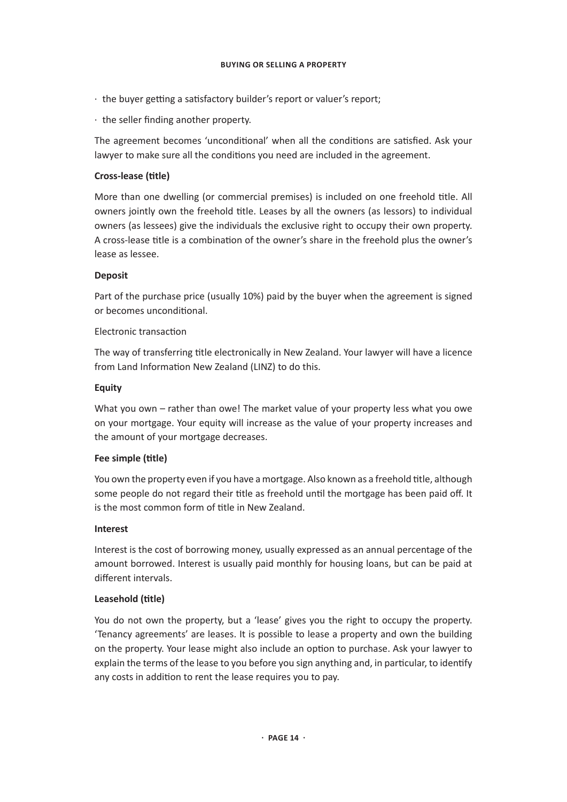- · the buyer getting a satisfactory builder's report or valuer's report;
- · the seller finding another property.

The agreement becomes 'unconditional' when all the conditions are satisfied. Ask your lawyer to make sure all the conditions you need are included in the agreement.

# **Cross-lease (title)**

More than one dwelling (or commercial premises) is included on one freehold title. All owners jointly own the freehold title. Leases by all the owners (as lessors) to individual owners (as lessees) give the individuals the exclusive right to occupy their own property. A cross-lease title is a combination of the owner's share in the freehold plus the owner's lease as lessee.

# **Deposit**

Part of the purchase price (usually 10%) paid by the buyer when the agreement is signed or becomes unconditional.

# Electronic transaction

The way of transferring title electronically in New Zealand. Your lawyer will have a licence from Land Information New Zealand (LINZ) to do this.

# **Equity**

What you own – rather than owe! The market value of your property less what you owe on your mortgage. Your equity will increase as the value of your property increases and the amount of your mortgage decreases.

# **Fee simple (title)**

You own the property even if you have a mortgage. Also known as a freehold title, although some people do not regard their title as freehold until the mortgage has been paid off. It is the most common form of title in New Zealand.

# **Interest**

Interest is the cost of borrowing money, usually expressed as an annual percentage of the amount borrowed. Interest is usually paid monthly for housing loans, but can be paid at different intervals.

# **Leasehold (title)**

You do not own the property, but a 'lease' gives you the right to occupy the property. 'Tenancy agreements' are leases. It is possible to lease a property and own the building on the property. Your lease might also include an option to purchase. Ask your lawyer to explain the terms of the lease to you before you sign anything and, in particular, to identify any costs in addition to rent the lease requires you to pay.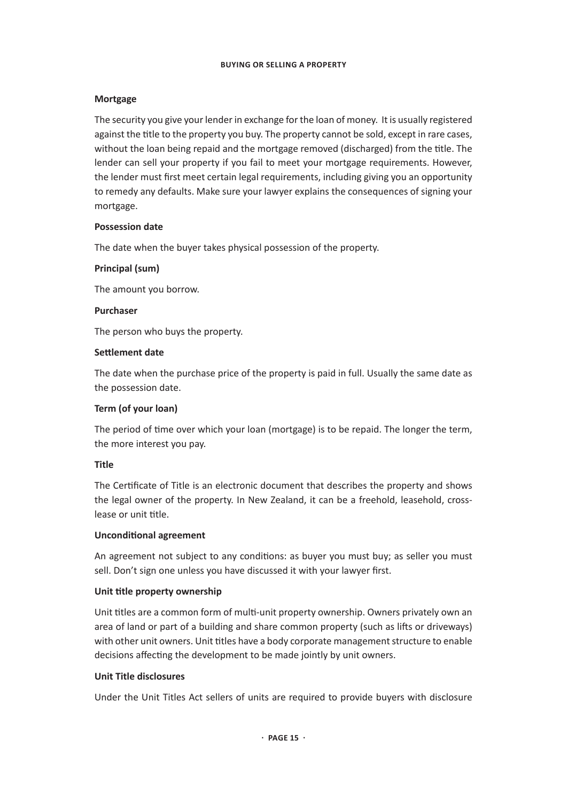## **Mortgage**

The security you give your lender in exchange for the loan of money. It is usually registered against the title to the property you buy. The property cannot be sold, except in rare cases, without the loan being repaid and the mortgage removed (discharged) from the title. The lender can sell your property if you fail to meet your mortgage requirements. However, the lender must first meet certain legal requirements, including giving you an opportunity to remedy any defaults. Make sure your lawyer explains the consequences of signing your mortgage.

## **Possession date**

The date when the buyer takes physical possession of the property.

## **Principal (sum)**

The amount you borrow.

#### **Purchaser**

The person who buys the property.

## **Settlement date**

The date when the purchase price of the property is paid in full. Usually the same date as the possession date.

# **Term (of your loan)**

The period of time over which your loan (mortgage) is to be repaid. The longer the term, the more interest you pay.

# **Title**

The Certificate of Title is an electronic document that describes the property and shows the legal owner of the property. In New Zealand, it can be a freehold, leasehold, crosslease or unit title.

#### **Unconditional agreement**

An agreement not subject to any conditions: as buyer you must buy; as seller you must sell. Don't sign one unless you have discussed it with your lawyer first.

# **Unit title property ownership**

Unit titles are a common form of multi-unit property ownership. Owners privately own an area of land or part of a building and share common property (such as lifts or driveways) with other unit owners. Unit titles have a body corporate management structure to enable decisions affecting the development to be made jointly by unit owners.

#### **Unit Title disclosures**

Under the Unit Titles Act sellers of units are required to provide buyers with disclosure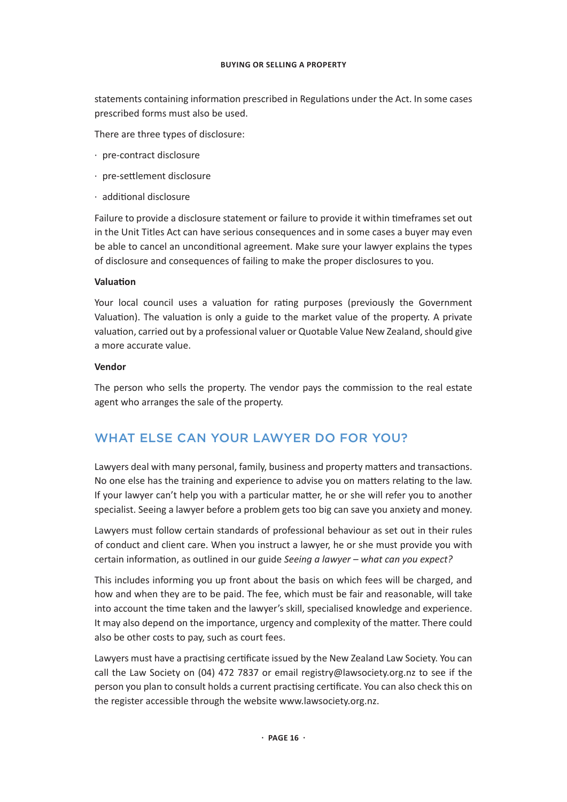statements containing information prescribed in Regulations under the Act. In some cases prescribed forms must also be used.

There are three types of disclosure:

- · pre-contract disclosure
- · pre-settlement disclosure
- · additional disclosure

Failure to provide a disclosure statement or failure to provide it within timeframes set out in the Unit Titles Act can have serious consequences and in some cases a buyer may even be able to cancel an unconditional agreement. Make sure your lawyer explains the types of disclosure and consequences of failing to make the proper disclosures to you.

#### **Valuation**

Your local council uses a valuation for rating purposes (previously the Government Valuation). The valuation is only a guide to the market value of the property. A private valuation, carried out by a professional valuer or Quotable Value New Zealand, should give a more accurate value.

#### **Vendor**

The person who sells the property. The vendor pays the commission to the real estate agent who arranges the sale of the property.

# WHAT ELSE CAN YOUR LAWYER DO FOR YOU?

Lawyers deal with many personal, family, business and property matters and transactions. No one else has the training and experience to advise you on matters relating to the law. If your lawyer can't help you with a particular matter, he or she will refer you to another specialist. Seeing a lawyer before a problem gets too big can save you anxiety and money.

Lawyers must follow certain standards of professional behaviour as set out in their rules of conduct and client care. When you instruct a lawyer, he or she must provide you with certain information, as outlined in our guide *Seeing a lawyer – what can you expect?*

This includes informing you up front about the basis on which fees will be charged, and how and when they are to be paid. The fee, which must be fair and reasonable, will take into account the time taken and the lawyer's skill, specialised knowledge and experience. It may also depend on the importance, urgency and complexity of the matter. There could also be other costs to pay, such as court fees.

Lawyers must have a practising certificate issued by the New Zealand Law Society. You can call the Law Society on (04) 472 7837 or email registry@lawsociety.org.nz to see if the person you plan to consult holds a current practising certificate. You can also check this on the register accessible through the website www.lawsociety.org.nz.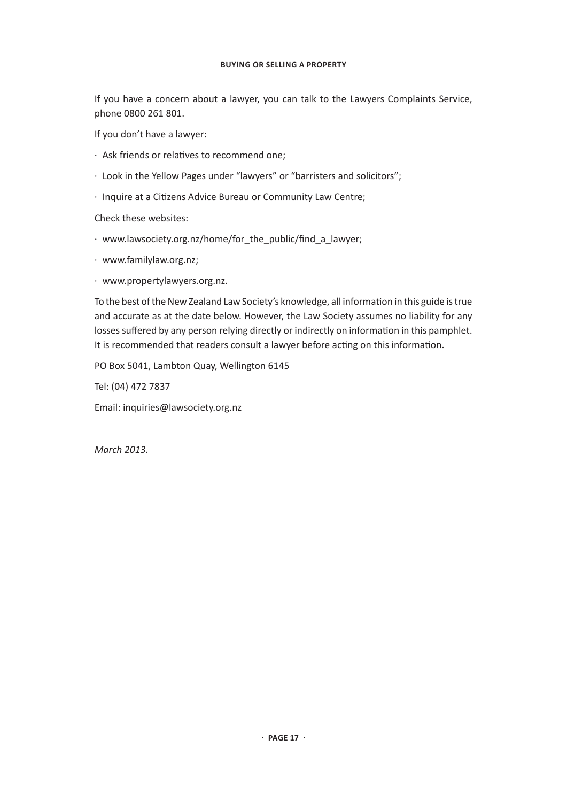If you have a concern about a lawyer, you can talk to the Lawyers Complaints Service, phone 0800 261 801.

If you don't have a lawyer:

- · Ask friends or relatives to recommend one;
- · Look in the Yellow Pages under "lawyers" or "barristers and solicitors";
- · Inquire at a Citizens Advice Bureau or Community Law Centre;

Check these websites:

- · www.lawsociety.org.nz/home/for\_the\_public/find\_a\_lawyer;
- · www.familylaw.org.nz;
- · www.propertylawyers.org.nz.

To the best of the New Zealand Law Society's knowledge, all information in this guide is true and accurate as at the date below. However, the Law Society assumes no liability for any losses suffered by any person relying directly or indirectly on information in this pamphlet. It is recommended that readers consult a lawyer before acting on this information.

PO Box 5041, Lambton Quay, Wellington 6145

Tel: (04) 472 7837

Email: inquiries@lawsociety.org.nz

*March 2013.*